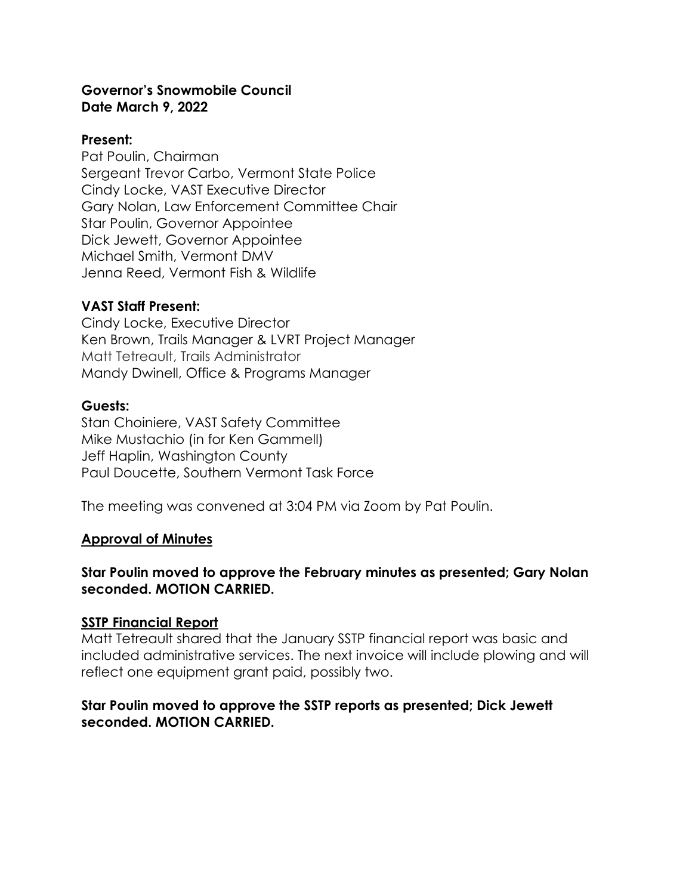#### **Governor's Snowmobile Council Date March 9, 2022**

#### **Present:**

Pat Poulin, Chairman Sergeant Trevor Carbo, Vermont State Police Cindy Locke, VAST Executive Director Gary Nolan, Law Enforcement Committee Chair Star Poulin, Governor Appointee Dick Jewett, Governor Appointee Michael Smith, Vermont DMV Jenna Reed, Vermont Fish & Wildlife

### **VAST Staff Present:**

Cindy Locke, Executive Director Ken Brown, Trails Manager & LVRT Project Manager Matt Tetreault, Trails Administrator Mandy Dwinell, Office & Programs Manager

#### **Guests:**

Stan Choiniere, VAST Safety Committee Mike Mustachio (in for Ken Gammell) Jeff Haplin, Washington County Paul Doucette, Southern Vermont Task Force

The meeting was convened at 3:04 PM via Zoom by Pat Poulin.

#### **Approval of Minutes**

### **Star Poulin moved to approve the February minutes as presented; Gary Nolan seconded. MOTION CARRIED.**

#### **SSTP Financial Report**

Matt Tetreault shared that the January SSTP financial report was basic and included administrative services. The next invoice will include plowing and will reflect one equipment grant paid, possibly two.

#### **Star Poulin moved to approve the SSTP reports as presented; Dick Jewett seconded. MOTION CARRIED.**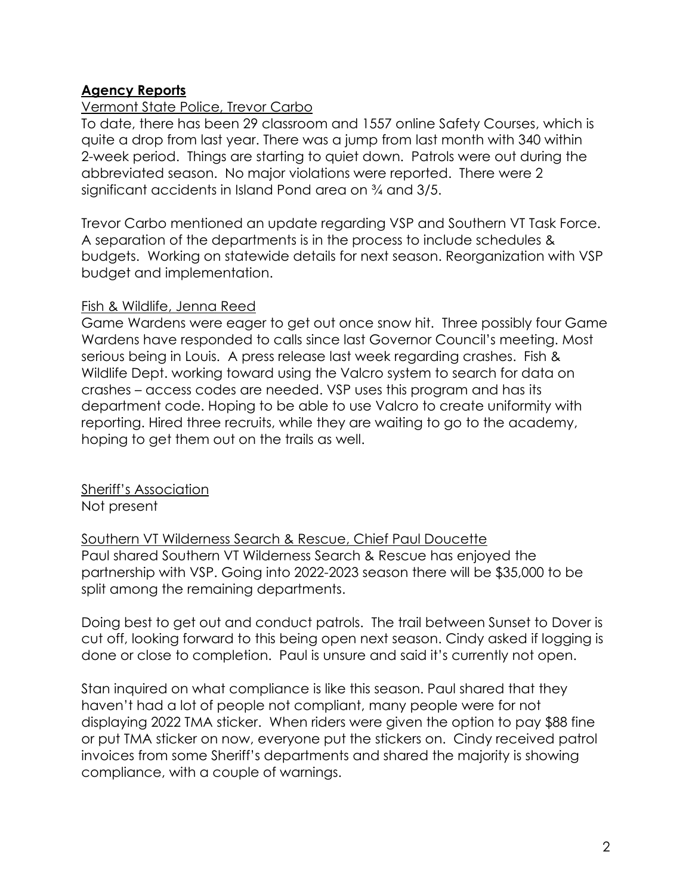# **Agency Reports**

### Vermont State Police, Trevor Carbo

To date, there has been 29 classroom and 1557 online Safety Courses, which is quite a drop from last year. There was a jump from last month with 340 within 2-week period. Things are starting to quiet down. Patrols were out during the abbreviated season. No major violations were reported. There were 2 significant accidents in Island Pond area on ¾ and 3/5.

Trevor Carbo mentioned an update regarding VSP and Southern VT Task Force. A separation of the departments is in the process to include schedules & budgets. Working on statewide details for next season. Reorganization with VSP budget and implementation.

#### Fish & Wildlife, Jenna Reed

Game Wardens were eager to get out once snow hit. Three possibly four Game Wardens have responded to calls since last Governor Council's meeting. Most serious being in Louis. A press release last week regarding crashes. Fish & Wildlife Dept. working toward using the Valcro system to search for data on crashes – access codes are needed. VSP uses this program and has its department code. Hoping to be able to use Valcro to create uniformity with reporting. Hired three recruits, while they are waiting to go to the academy, hoping to get them out on the trails as well.

Sheriff's Association Not present

Southern VT Wilderness Search & Rescue, Chief Paul Doucette Paul shared Southern VT Wilderness Search & Rescue has enjoyed the partnership with VSP. Going into 2022-2023 season there will be \$35,000 to be split among the remaining departments.

Doing best to get out and conduct patrols. The trail between Sunset to Dover is cut off, looking forward to this being open next season. Cindy asked if logging is done or close to completion. Paul is unsure and said it's currently not open.

Stan inquired on what compliance is like this season. Paul shared that they haven't had a lot of people not compliant, many people were for not displaying 2022 TMA sticker. When riders were given the option to pay \$88 fine or put TMA sticker on now, everyone put the stickers on. Cindy received patrol invoices from some Sheriff's departments and shared the majority is showing compliance, with a couple of warnings.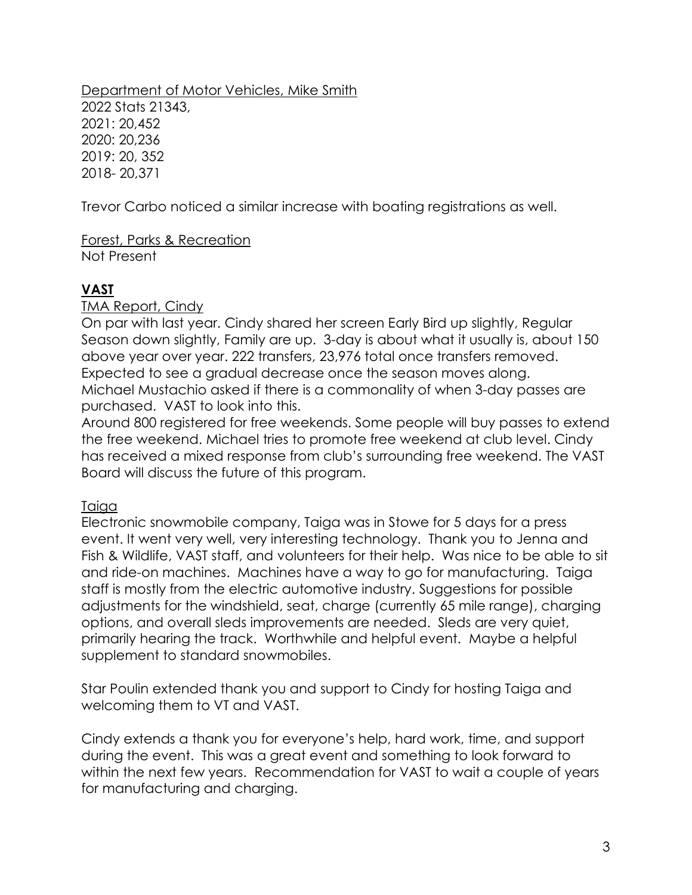Department of Motor Vehicles, Mike Smith 2022 Stats 21343, 2021: 20,452 2020: 20,236 2019: 20, 352 2018- 20,371

Trevor Carbo noticed a similar increase with boating registrations as well.

Forest, Parks & Recreation Not Present

# **VAST**

TMA Report, Cindy

On par with last year. Cindy shared her screen Early Bird up slightly, Regular Season down slightly, Family are up. 3-day is about what it usually is, about 150 above year over year. 222 transfers, 23,976 total once transfers removed. Expected to see a gradual decrease once the season moves along. Michael Mustachio asked if there is a commonality of when 3-day passes are purchased. VAST to look into this.

Around 800 registered for free weekends. Some people will buy passes to extend the free weekend. Michael tries to promote free weekend at club level. Cindy has received a mixed response from club's surrounding free weekend. The VAST Board will discuss the future of this program.

# Taiga

Electronic snowmobile company, Taiga was in Stowe for 5 days for a press event. It went very well, very interesting technology. Thank you to Jenna and Fish & Wildlife, VAST staff, and volunteers for their help. Was nice to be able to sit and ride-on machines. Machines have a way to go for manufacturing. Taiga staff is mostly from the electric automotive industry. Suggestions for possible adjustments for the windshield, seat, charge (currently 65 mile range), charging options, and overall sleds improvements are needed. Sleds are very quiet, primarily hearing the track. Worthwhile and helpful event. Maybe a helpful supplement to standard snowmobiles.

Star Poulin extended thank you and support to Cindy for hosting Taiga and welcoming them to VT and VAST.

Cindy extends a thank you for everyone's help, hard work, time, and support during the event. This was a great event and something to look forward to within the next few years. Recommendation for VAST to wait a couple of years for manufacturing and charging.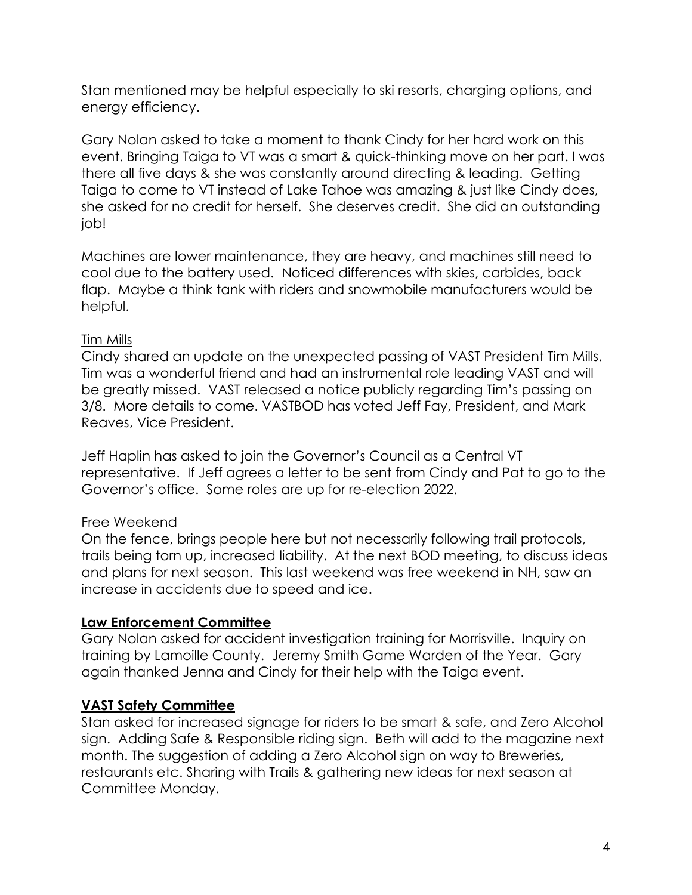Stan mentioned may be helpful especially to ski resorts, charging options, and energy efficiency.

Gary Nolan asked to take a moment to thank Cindy for her hard work on this event. Bringing Taiga to VT was a smart & quick-thinking move on her part. I was there all five days & she was constantly around directing & leading. Getting Taiga to come to VT instead of Lake Tahoe was amazing & just like Cindy does, she asked for no credit for herself. She deserves credit. She did an outstanding job!

Machines are lower maintenance, they are heavy, and machines still need to cool due to the battery used. Noticed differences with skies, carbides, back flap. Maybe a think tank with riders and snowmobile manufacturers would be helpful.

# Tim Mills

Cindy shared an update on the unexpected passing of VAST President Tim Mills. Tim was a wonderful friend and had an instrumental role leading VAST and will be greatly missed. VAST released a notice publicly regarding Tim's passing on 3/8. More details to come. VASTBOD has voted Jeff Fay, President, and Mark Reaves, Vice President.

Jeff Haplin has asked to join the Governor's Council as a Central VT representative. If Jeff agrees a letter to be sent from Cindy and Pat to go to the Governor's office. Some roles are up for re-election 2022.

# Free Weekend

On the fence, brings people here but not necessarily following trail protocols, trails being torn up, increased liability. At the next BOD meeting, to discuss ideas and plans for next season. This last weekend was free weekend in NH, saw an increase in accidents due to speed and ice.

# **Law Enforcement Committee**

Gary Nolan asked for accident investigation training for Morrisville. Inquiry on training by Lamoille County. Jeremy Smith Game Warden of the Year. Gary again thanked Jenna and Cindy for their help with the Taiga event.

# **VAST Safety Committee**

Stan asked for increased signage for riders to be smart & safe, and Zero Alcohol sign. Adding Safe & Responsible riding sign. Beth will add to the magazine next month. The suggestion of adding a Zero Alcohol sign on way to Breweries, restaurants etc. Sharing with Trails & gathering new ideas for next season at Committee Monday.